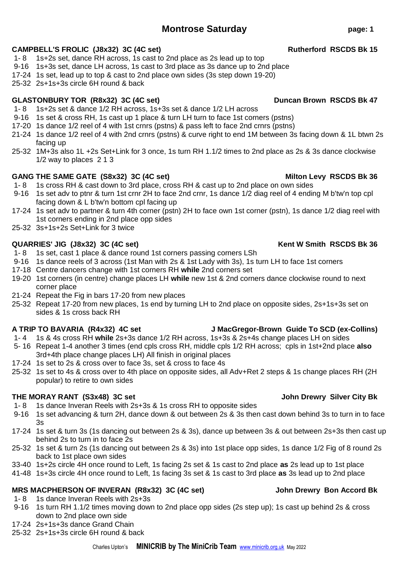## **Montrose Saturday page: 1**

### CAMPBELL'S FROLIC (J8x32) 3C (4C set) **Rutherford RSCDS Bk 15**

- 1- 8 1s+2s set, dance RH across, 1s cast to 2nd place as 2s lead up to top
- 9-16 1s+3s set, dance LH across, 1s cast to 3rd place as 3s dance up to 2nd place
- 17-24 1s set, lead up to top & cast to 2nd place own sides (3s step down 19-20)
- 25-32 2s+1s+3s circle 6H round & back

### GLASTONBURY TOR (R8x32) 3C (4C set) DUNCAL DUNCAN Brown RSCDS Bk 47

- 1- 8 1s+2s set & dance 1/2 RH across, 1s+3s set & dance 1/2 LH across
- 9-16 1s set & cross RH, 1s cast up 1 place & turn LH turn to face 1st corners (pstns)
- 17-20 1s dance 1/2 reel of 4 with 1st crnrs (pstns) & pass left to face 2nd crnrs (pstns)
- 21-24 1s dance 1/2 reel of 4 with 2nd crnrs (pstns) & curve right to end 1M between 3s facing down & 1L btwn 2s facing up
- 25-32 1M+3s also 1L +2s Set+Link for 3 once, 1s turn RH 1.1/2 times to 2nd place as 2s & 3s dance clockwise 1/2 way to places 2 1 3

### **GANG THE SAME GATE (S8x32) 3C (4C set) Milton Levy RSCDS Bk 36**

- 1- 8 1s cross RH & cast down to 3rd place, cross RH & cast up to 2nd place on own sides
- 9-16 1s set adv to ptnr & turn 1st crnr 2H to face 2nd crnr, 1s dance 1/2 diag reel of 4 ending M b'tw'n top cpl facing down & L b'tw'n bottom cpl facing up
- 17-24 1s set adv to partner & turn 4th corner (pstn) 2H to face own 1st corner (pstn), 1s dance 1/2 diag reel with 1st corners ending in 2nd place opp sides
- 25-32 3s+1s+2s Set+Link for 3 twice

### **QUARRIES' JIG (J8x32) 3C (4C set) Kent W Smith RSCDS Bk 36**

- 1- 8 1s set, cast 1 place & dance round 1st corners passing corners LSh
- 9-16 1s dance reels of 3 across (1st Man with 2s & 1st Lady with 3s), 1s turn LH to face 1st corners
- 17-18 Centre dancers change with 1st corners RH **while** 2nd corners set
- 19-20 1st corners (in centre) change places LH **while** new 1st & 2nd corners dance clockwise round to next corner place
- 21-24 Repeat the Fig in bars 17-20 from new places
- 25-32 Repeat 17-20 from new places, 1s end by turning LH to 2nd place on opposite sides, 2s+1s+3s set on sides & 1s cross back RH

- 1- 4 1s & 4s cross RH **while** 2s+3s dance 1/2 RH across, 1s+3s & 2s+4s change places LH on sides
- 5- 16 Repeat 1-4 another 3 times (end cpls cross RH, middle cpls 1/2 RH across; cpls in 1st+2nd place **also** 3rd+4th place change places LH) All finish in original places
- 17-24 1s set to 2s & cross over to face 3s, set & cross to face 4s
- 25-32 1s set to 4s & cross over to 4th place on opposite sides, all Adv+Ret 2 steps & 1s change places RH (2H popular) to retire to own sides

## **THE MORAY RANT (S3x48) 3C set John Drewry Silver City Bk**

- 1- 8 1s dance Inveran Reels with 2s+3s & 1s cross RH to opposite sides
- 9-16 1s set advancing & turn 2H, dance down & out between 2s & 3s then cast down behind 3s to turn in to face 3s
- 17-24 1s set & turn 3s (1s dancing out between 2s & 3s), dance up between 3s & out between 2s+3s then cast up behind 2s to turn in to face 2s
- 25-32 1s set & turn 2s (1s dancing out between 2s & 3s) into 1st place opp sides, 1s dance 1/2 Fig of 8 round 2s back to 1st place own sides
- 33-40 1s+2s circle 4H once round to Left, 1s facing 2s set & 1s cast to 2nd place **as** 2s lead up to 1st place
- 41-48 1s+3s circle 4H once round to Left, 1s facing 3s set & 1s cast to 3rd place **as** 3s lead up to 2nd place

## **MRS MACPHERSON OF INVERAN (R8x32) 3C (4C set) John Drewry Bon Accord Bk**

- 1- 8 1s dance Inveran Reels with 2s+3s
- 9-16 1s turn RH 1.1/2 times moving down to 2nd place opp sides (2s step up); 1s cast up behind 2s & cross down to 2nd place own side
- 17-24 2s+1s+3s dance Grand Chain
- 25-32 2s+1s+3s circle 6H round & back

## **A TRIP TO BAVARIA (R4x32) 4C set J MacGregor-Brown Guide To SCD (ex-Collins)**